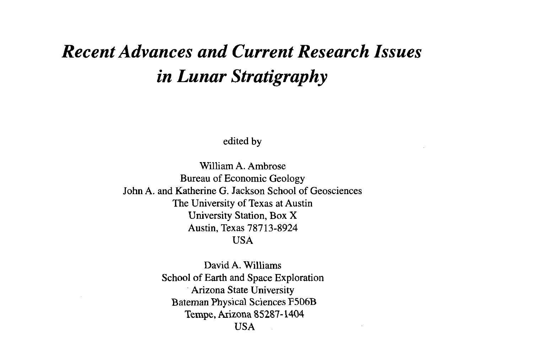## *Recent Advances and Current Research Issues in Lunar Stratigraphy*

edited by

William A. Ambrose Bureau of Economic Geology John A. and Katherine G. Jackson School of Geosciences The University of Texas at Austin University Station, Box X Austin, Texas 78713-8924 USA

> David A. Williams School of Earth and Space Exploration Arizona State University Bateman Physical Sciences F506B Tempe, Arizona 85287-1404 USA